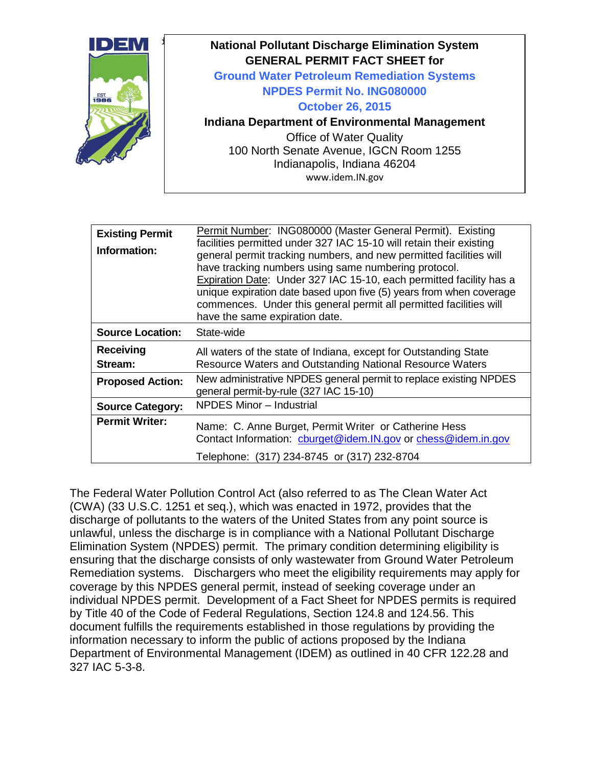

| <b>Existing Permit</b><br>Information: | Permit Number: ING080000 (Master General Permit). Existing<br>facilities permitted under 327 IAC 15-10 will retain their existing<br>general permit tracking numbers, and new permitted facilities will<br>have tracking numbers using same numbering protocol.<br>Expiration Date: Under 327 IAC 15-10, each permitted facility has a<br>unique expiration date based upon five (5) years from when coverage<br>commences. Under this general permit all permitted facilities will<br>have the same expiration date. |  |
|----------------------------------------|-----------------------------------------------------------------------------------------------------------------------------------------------------------------------------------------------------------------------------------------------------------------------------------------------------------------------------------------------------------------------------------------------------------------------------------------------------------------------------------------------------------------------|--|
| <b>Source Location:</b>                | State-wide                                                                                                                                                                                                                                                                                                                                                                                                                                                                                                            |  |
| <b>Receiving</b><br>Stream:            | All waters of the state of Indiana, except for Outstanding State<br>Resource Waters and Outstanding National Resource Waters                                                                                                                                                                                                                                                                                                                                                                                          |  |
| <b>Proposed Action:</b>                | New administrative NPDES general permit to replace existing NPDES<br>general permit-by-rule (327 IAC 15-10)                                                                                                                                                                                                                                                                                                                                                                                                           |  |
| <b>Source Category:</b>                | <b>NPDES Minor - Industrial</b>                                                                                                                                                                                                                                                                                                                                                                                                                                                                                       |  |
| <b>Permit Writer:</b>                  | Name: C. Anne Burget, Permit Writer or Catherine Hess<br>Contact Information: cburget@idem.IN.gov or chess@idem.in.gov                                                                                                                                                                                                                                                                                                                                                                                                |  |
|                                        | Telephone: (317) 234-8745 or (317) 232-8704                                                                                                                                                                                                                                                                                                                                                                                                                                                                           |  |

The Federal Water Pollution Control Act (also referred to as The Clean Water Act (CWA) (33 U.S.C. 1251 et seq.), which was enacted in 1972, provides that the discharge of pollutants to the waters of the United States from any point source is unlawful, unless the discharge is in compliance with a National Pollutant Discharge Elimination System (NPDES) permit. The primary condition determining eligibility is ensuring that the discharge consists of only wastewater from Ground Water Petroleum Remediation systems. Dischargers who meet the eligibility requirements may apply for coverage by this NPDES general permit, instead of seeking coverage under an individual NPDES permit. Development of a Fact Sheet for NPDES permits is required by Title 40 of the Code of Federal Regulations, Section 124.8 and 124.56. This document fulfills the requirements established in those regulations by providing the information necessary to inform the public of actions proposed by the Indiana Department of Environmental Management (IDEM) as outlined in 40 CFR 122.28 and 327 IAC 5-3-8.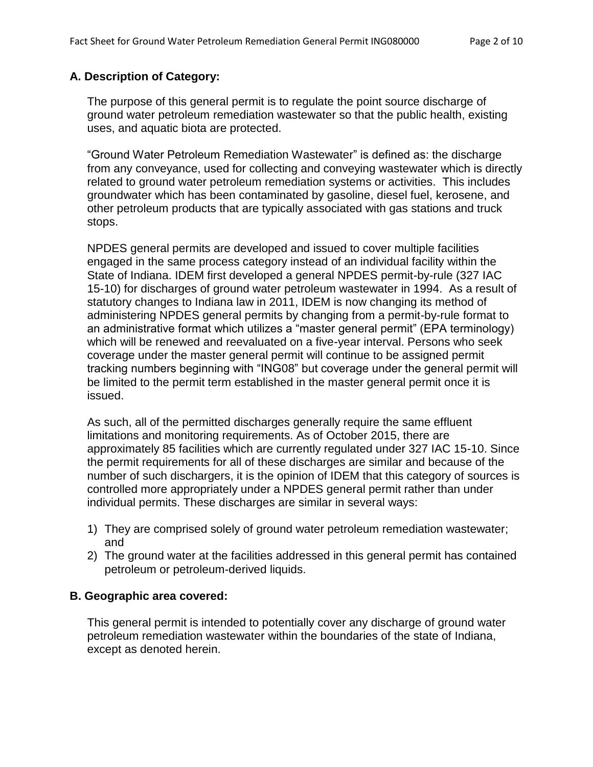## **A. Description of Category:**

The purpose of this general permit is to regulate the point source discharge of ground water petroleum remediation wastewater so that the public health, existing uses, and aquatic biota are protected.

"Ground Water Petroleum Remediation Wastewater" is defined as: the discharge from any conveyance, used for collecting and conveying wastewater which is directly related to ground water petroleum remediation systems or activities. This includes groundwater which has been contaminated by gasoline, diesel fuel, kerosene, and other petroleum products that are typically associated with gas stations and truck stops.

NPDES general permits are developed and issued to cover multiple facilities engaged in the same process category instead of an individual facility within the State of Indiana. IDEM first developed a general NPDES permit-by-rule (327 IAC 15-10) for discharges of ground water petroleum wastewater in 1994. As a result of statutory changes to Indiana law in 2011, IDEM is now changing its method of administering NPDES general permits by changing from a permit-by-rule format to an administrative format which utilizes a "master general permit" (EPA terminology) which will be renewed and reevaluated on a five-year interval. Persons who seek coverage under the master general permit will continue to be assigned permit tracking numbers beginning with "ING08" but coverage under the general permit will be limited to the permit term established in the master general permit once it is issued.

As such, all of the permitted discharges generally require the same effluent limitations and monitoring requirements. As of October 2015, there are approximately 85 facilities which are currently regulated under 327 IAC 15-10. Since the permit requirements for all of these discharges are similar and because of the number of such dischargers, it is the opinion of IDEM that this category of sources is controlled more appropriately under a NPDES general permit rather than under individual permits. These discharges are similar in several ways:

- 1) They are comprised solely of ground water petroleum remediation wastewater; and
- 2) The ground water at the facilities addressed in this general permit has contained petroleum or petroleum-derived liquids.

### **B. Geographic area covered:**

This general permit is intended to potentially cover any discharge of ground water petroleum remediation wastewater within the boundaries of the state of Indiana, except as denoted herein.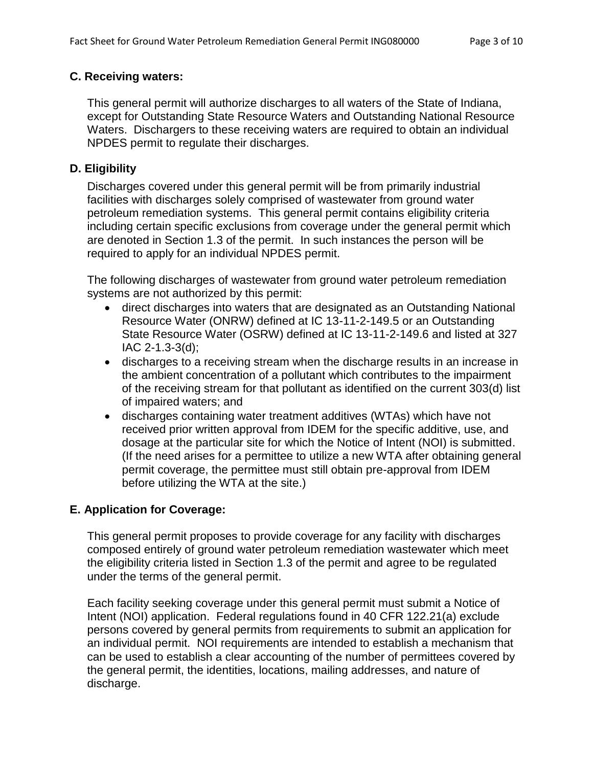### **C. Receiving waters:**

This general permit will authorize discharges to all waters of the State of Indiana, except for Outstanding State Resource Waters and Outstanding National Resource Waters. Dischargers to these receiving waters are required to obtain an individual NPDES permit to regulate their discharges.

## **D. Eligibility**

Discharges covered under this general permit will be from primarily industrial facilities with discharges solely comprised of wastewater from ground water petroleum remediation systems. This general permit contains eligibility criteria including certain specific exclusions from coverage under the general permit which are denoted in Section 1.3 of the permit. In such instances the person will be required to apply for an individual NPDES permit.

The following discharges of wastewater from ground water petroleum remediation systems are not authorized by this permit:

- direct discharges into waters that are designated as an Outstanding National Resource Water (ONRW) defined at IC 13-11-2-149.5 or an Outstanding State Resource Water (OSRW) defined at IC 13-11-2-149.6 and listed at 327 IAC 2-1.3-3(d);
- discharges to a receiving stream when the discharge results in an increase in the ambient concentration of a pollutant which contributes to the impairment of the receiving stream for that pollutant as identified on the current 303(d) list of impaired waters; and
- discharges containing water treatment additives (WTAs) which have not received prior written approval from IDEM for the specific additive, use, and dosage at the particular site for which the Notice of Intent (NOI) is submitted. (If the need arises for a permittee to utilize a new WTA after obtaining general permit coverage, the permittee must still obtain pre-approval from IDEM before utilizing the WTA at the site.)

# **E. Application for Coverage:**

This general permit proposes to provide coverage for any facility with discharges composed entirely of ground water petroleum remediation wastewater which meet the eligibility criteria listed in Section 1.3 of the permit and agree to be regulated under the terms of the general permit.

Each facility seeking coverage under this general permit must submit a Notice of Intent (NOI) application. Federal regulations found in 40 CFR 122.21(a) exclude persons covered by general permits from requirements to submit an application for an individual permit. NOI requirements are intended to establish a mechanism that can be used to establish a clear accounting of the number of permittees covered by the general permit, the identities, locations, mailing addresses, and nature of discharge.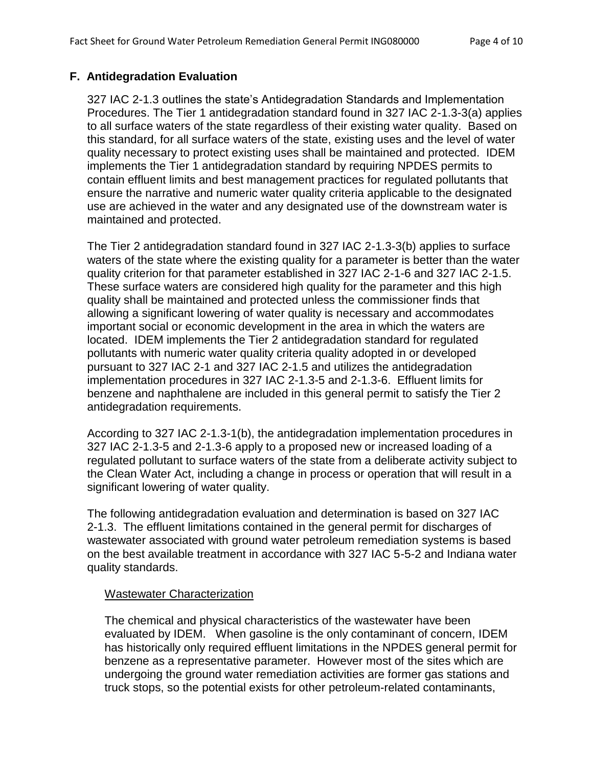### **F. Antidegradation Evaluation**

327 IAC 2-1.3 outlines the state's Antidegradation Standards and Implementation Procedures. The Tier 1 antidegradation standard found in 327 IAC 2-1.3-3(a) applies to all surface waters of the state regardless of their existing water quality. Based on this standard, for all surface waters of the state, existing uses and the level of water quality necessary to protect existing uses shall be maintained and protected. IDEM implements the Tier 1 antidegradation standard by requiring NPDES permits to contain effluent limits and best management practices for regulated pollutants that ensure the narrative and numeric water quality criteria applicable to the designated use are achieved in the water and any designated use of the downstream water is maintained and protected.

The Tier 2 antidegradation standard found in 327 IAC 2-1.3-3(b) applies to surface waters of the state where the existing quality for a parameter is better than the water quality criterion for that parameter established in 327 IAC 2-1-6 and 327 IAC 2-1.5. These surface waters are considered high quality for the parameter and this high quality shall be maintained and protected unless the commissioner finds that allowing a significant lowering of water quality is necessary and accommodates important social or economic development in the area in which the waters are located. IDEM implements the Tier 2 antidegradation standard for regulated pollutants with numeric water quality criteria quality adopted in or developed pursuant to 327 IAC 2-1 and 327 IAC 2-1.5 and utilizes the antidegradation implementation procedures in 327 IAC 2-1.3-5 and 2-1.3-6. Effluent limits for benzene and naphthalene are included in this general permit to satisfy the Tier 2 antidegradation requirements.

According to 327 IAC 2-1.3-1(b), the antidegradation implementation procedures in 327 IAC 2-1.3-5 and 2-1.3-6 apply to a proposed new or increased loading of a regulated pollutant to surface waters of the state from a deliberate activity subject to the Clean Water Act, including a change in process or operation that will result in a significant lowering of water quality.

The following antidegradation evaluation and determination is based on 327 IAC 2-1.3. The effluent limitations contained in the general permit for discharges of wastewater associated with ground water petroleum remediation systems is based on the best available treatment in accordance with 327 IAC 5-5-2 and Indiana water quality standards.

### Wastewater Characterization

The chemical and physical characteristics of the wastewater have been evaluated by IDEM. When gasoline is the only contaminant of concern, IDEM has historically only required effluent limitations in the NPDES general permit for benzene as a representative parameter. However most of the sites which are undergoing the ground water remediation activities are former gas stations and truck stops, so the potential exists for other petroleum-related contaminants,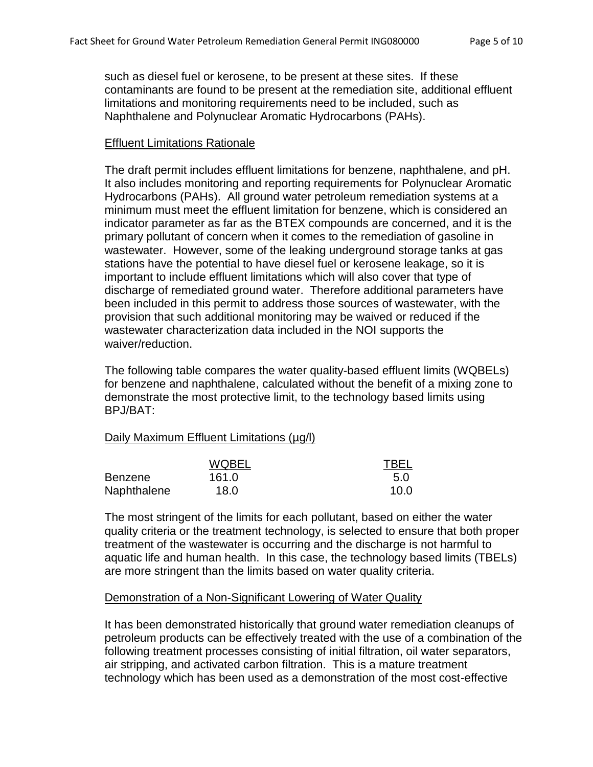such as diesel fuel or kerosene, to be present at these sites. If these contaminants are found to be present at the remediation site, additional effluent limitations and monitoring requirements need to be included, such as Naphthalene and Polynuclear Aromatic Hydrocarbons (PAHs).

### Effluent Limitations Rationale

The draft permit includes effluent limitations for benzene, naphthalene, and pH. It also includes monitoring and reporting requirements for Polynuclear Aromatic Hydrocarbons (PAHs). All ground water petroleum remediation systems at a minimum must meet the effluent limitation for benzene, which is considered an indicator parameter as far as the BTEX compounds are concerned, and it is the primary pollutant of concern when it comes to the remediation of gasoline in wastewater. However, some of the leaking underground storage tanks at gas stations have the potential to have diesel fuel or kerosene leakage, so it is important to include effluent limitations which will also cover that type of discharge of remediated ground water. Therefore additional parameters have been included in this permit to address those sources of wastewater, with the provision that such additional monitoring may be waived or reduced if the wastewater characterization data included in the NOI supports the waiver/reduction.

The following table compares the water quality-based effluent limits (WQBELs) for benzene and naphthalene, calculated without the benefit of a mixing zone to demonstrate the most protective limit, to the technology based limits using BPJ/BAT:

### Daily Maximum Effluent Limitations (µg/l)

|             | <b>WQBEL</b> | <b>TBEL</b> |
|-------------|--------------|-------------|
| Benzene     | 161.0        | 5.0         |
| Naphthalene | 18.0         | 10.0        |

The most stringent of the limits for each pollutant, based on either the water quality criteria or the treatment technology, is selected to ensure that both proper treatment of the wastewater is occurring and the discharge is not harmful to aquatic life and human health. In this case, the technology based limits (TBELs) are more stringent than the limits based on water quality criteria.

### Demonstration of a Non-Significant Lowering of Water Quality

It has been demonstrated historically that ground water remediation cleanups of petroleum products can be effectively treated with the use of a combination of the following treatment processes consisting of initial filtration, oil water separators, air stripping, and activated carbon filtration. This is a mature treatment technology which has been used as a demonstration of the most cost-effective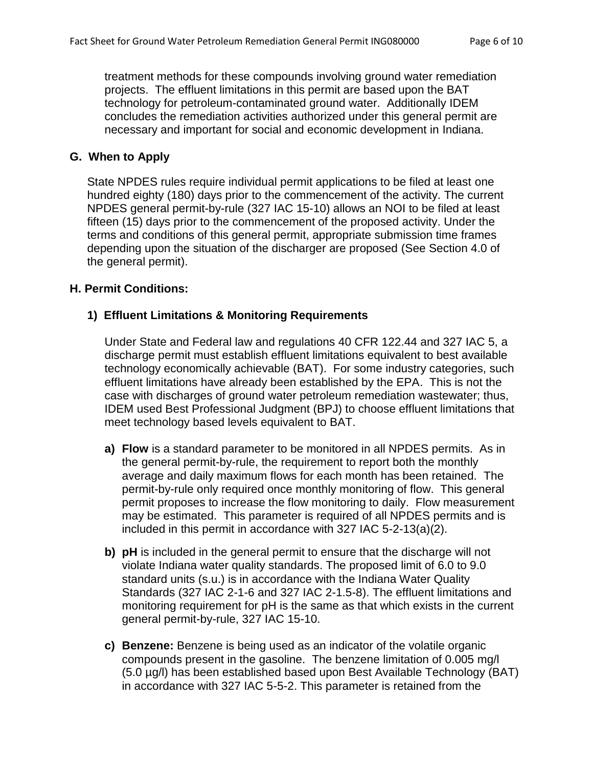treatment methods for these compounds involving ground water remediation projects. The effluent limitations in this permit are based upon the BAT technology for petroleum-contaminated ground water. Additionally IDEM concludes the remediation activities authorized under this general permit are necessary and important for social and economic development in Indiana.

# **G. When to Apply**

State NPDES rules require individual permit applications to be filed at least one hundred eighty (180) days prior to the commencement of the activity. The current NPDES general permit-by-rule (327 IAC 15-10) allows an NOI to be filed at least fifteen (15) days prior to the commencement of the proposed activity. Under the terms and conditions of this general permit, appropriate submission time frames depending upon the situation of the discharger are proposed (See Section 4.0 of the general permit).

### **H. Permit Conditions:**

### **1) Effluent Limitations & Monitoring Requirements**

Under State and Federal law and regulations 40 CFR 122.44 and 327 IAC 5, a discharge permit must establish effluent limitations equivalent to best available technology economically achievable (BAT). For some industry categories, such effluent limitations have already been established by the EPA. This is not the case with discharges of ground water petroleum remediation wastewater; thus, IDEM used Best Professional Judgment (BPJ) to choose effluent limitations that meet technology based levels equivalent to BAT.

- **a) Flow** is a standard parameter to be monitored in all NPDES permits. As in the general permit-by-rule, the requirement to report both the monthly average and daily maximum flows for each month has been retained. The permit-by-rule only required once monthly monitoring of flow. This general permit proposes to increase the flow monitoring to daily. Flow measurement may be estimated. This parameter is required of all NPDES permits and is included in this permit in accordance with 327 IAC 5-2-13(a)(2).
- **b) pH** is included in the general permit to ensure that the discharge will not violate Indiana water quality standards. The proposed limit of 6.0 to 9.0 standard units (s.u.) is in accordance with the Indiana Water Quality Standards (327 IAC 2-1-6 and 327 IAC 2-1.5-8). The effluent limitations and monitoring requirement for pH is the same as that which exists in the current general permit-by-rule, 327 IAC 15-10.
- **c) Benzene:** Benzene is being used as an indicator of the volatile organic compounds present in the gasoline. The benzene limitation of 0.005 mg/l (5.0 µg/l) has been established based upon Best Available Technology (BAT) in accordance with 327 IAC 5-5-2. This parameter is retained from the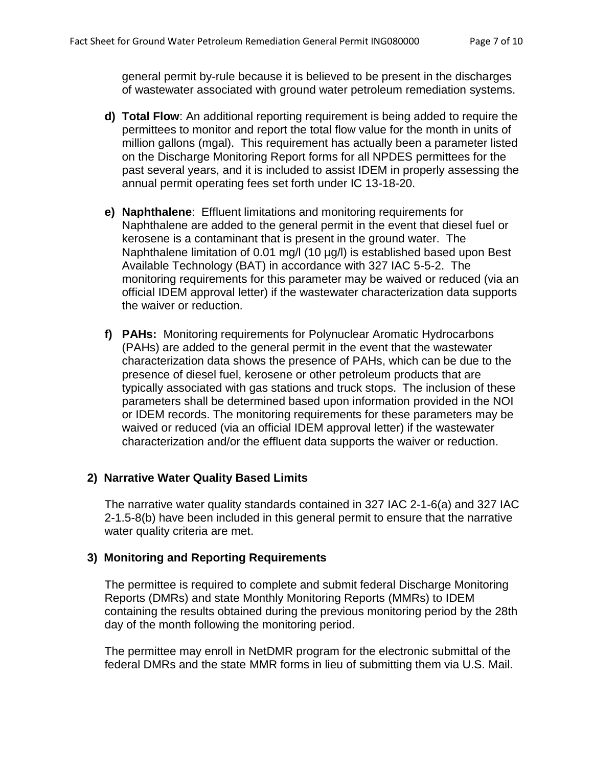general permit by-rule because it is believed to be present in the discharges of wastewater associated with ground water petroleum remediation systems.

- **d) Total Flow**: An additional reporting requirement is being added to require the permittees to monitor and report the total flow value for the month in units of million gallons (mgal). This requirement has actually been a parameter listed on the Discharge Monitoring Report forms for all NPDES permittees for the past several years, and it is included to assist IDEM in properly assessing the annual permit operating fees set forth under IC 13-18-20.
- **e) Naphthalene**: Effluent limitations and monitoring requirements for Naphthalene are added to the general permit in the event that diesel fuel or kerosene is a contaminant that is present in the ground water. The Naphthalene limitation of 0.01 mg/l (10 µg/l) is established based upon Best Available Technology (BAT) in accordance with 327 IAC 5-5-2. The monitoring requirements for this parameter may be waived or reduced (via an official IDEM approval letter) if the wastewater characterization data supports the waiver or reduction.
- **f) PAHs:** Monitoring requirements for Polynuclear Aromatic Hydrocarbons (PAHs) are added to the general permit in the event that the wastewater characterization data shows the presence of PAHs, which can be due to the presence of diesel fuel, kerosene or other petroleum products that are typically associated with gas stations and truck stops. The inclusion of these parameters shall be determined based upon information provided in the NOI or IDEM records. The monitoring requirements for these parameters may be waived or reduced (via an official IDEM approval letter) if the wastewater characterization and/or the effluent data supports the waiver or reduction.

# **2) Narrative Water Quality Based Limits**

The narrative water quality standards contained in 327 IAC 2-1-6(a) and 327 IAC 2-1.5-8(b) have been included in this general permit to ensure that the narrative water quality criteria are met.

### **3) Monitoring and Reporting Requirements**

The permittee is required to complete and submit federal Discharge Monitoring Reports (DMRs) and state Monthly Monitoring Reports (MMRs) to IDEM containing the results obtained during the previous monitoring period by the 28th day of the month following the monitoring period.

The permittee may enroll in NetDMR program for the electronic submittal of the federal DMRs and the state MMR forms in lieu of submitting them via U.S. Mail.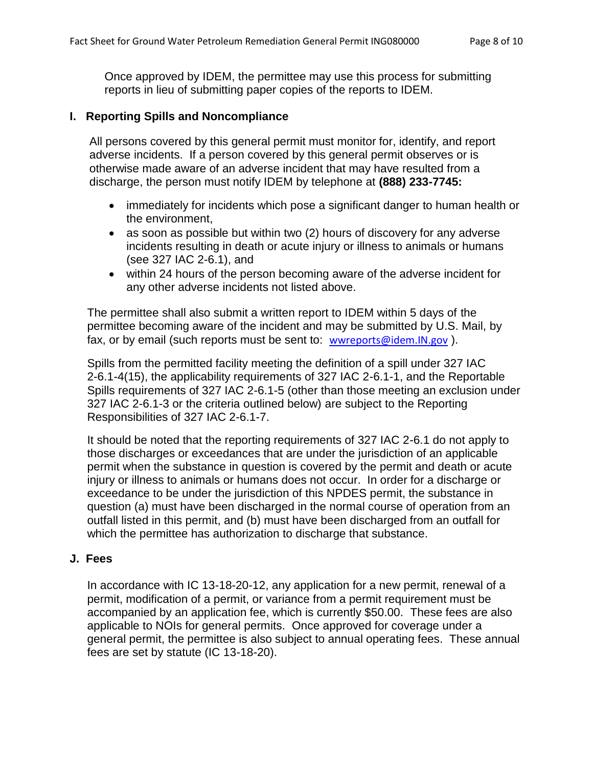Once approved by IDEM, the permittee may use this process for submitting reports in lieu of submitting paper copies of the reports to IDEM.

### **I. Reporting Spills and Noncompliance**

All persons covered by this general permit must monitor for, identify, and report adverse incidents. If a person covered by this general permit observes or is otherwise made aware of an adverse incident that may have resulted from a discharge, the person must notify IDEM by telephone at **(888) 233-7745:**

- immediately for incidents which pose a significant danger to human health or the environment,
- as soon as possible but within two (2) hours of discovery for any adverse incidents resulting in death or acute injury or illness to animals or humans (see 327 IAC 2-6.1), and
- within 24 hours of the person becoming aware of the adverse incident for any other adverse incidents not listed above.

The permittee shall also submit a written report to IDEM within 5 days of the permittee becoming aware of the incident and may be submitted by U.S. Mail, by fax, or by email (such reports must be sent to: [wwreports@idem.IN.gov](mailto:wwreports@idem.IN.gov)).

Spills from the permitted facility meeting the definition of a spill under 327 IAC 2-6.1-4(15), the applicability requirements of 327 IAC 2-6.1-1, and the Reportable Spills requirements of 327 IAC 2-6.1-5 (other than those meeting an exclusion under 327 IAC 2-6.1-3 or the criteria outlined below) are subject to the Reporting Responsibilities of 327 IAC 2-6.1-7.

It should be noted that the reporting requirements of 327 IAC 2-6.1 do not apply to those discharges or exceedances that are under the jurisdiction of an applicable permit when the substance in question is covered by the permit and death or acute injury or illness to animals or humans does not occur. In order for a discharge or exceedance to be under the jurisdiction of this NPDES permit, the substance in question (a) must have been discharged in the normal course of operation from an outfall listed in this permit, and (b) must have been discharged from an outfall for which the permittee has authorization to discharge that substance.

#### **J. Fees**

In accordance with IC 13-18-20-12, any application for a new permit, renewal of a permit, modification of a permit, or variance from a permit requirement must be accompanied by an application fee, which is currently \$50.00. These fees are also applicable to NOIs for general permits. Once approved for coverage under a general permit, the permittee is also subject to annual operating fees. These annual fees are set by statute (IC 13-18-20).